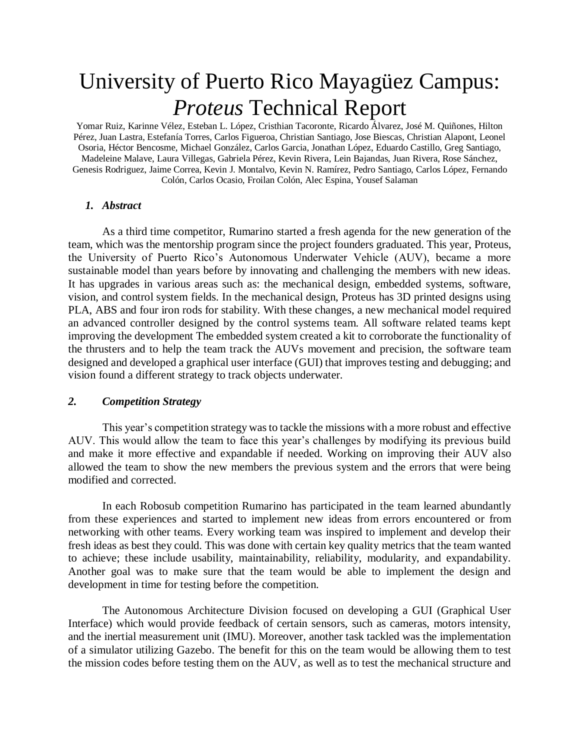# University of Puerto Rico Mayagüez Campus: *Proteus* Technical Report

Yomar Ruiz, Karinne Vélez, Esteban L. López, Cristhian Tacoronte, Ricardo Álvarez, José M. Quiñones, Hilton Pérez, Juan Lastra, Estefanía Torres, Carlos Figueroa, Christian Santiago, Jose Biescas, Christian Alapont, Leonel Osoria, Héctor Bencosme, Michael González, Carlos Garcia, Jonathan López, Eduardo Castillo, Greg Santiago, Madeleine Malave, Laura Villegas, Gabriela Pérez, Kevin Rivera, Lein Bajandas, Juan Rivera, Rose Sánchez, Genesis Rodriguez, Jaime Correa, Kevin J. Montalvo, Kevin N. Ramírez, Pedro Santiago, Carlos López, Fernando Colón, Carlos Ocasio, Froilan Colón, Alec Espina, Yousef Salaman

#### *1. Abstract*

As a third time competitor, Rumarino started a fresh agenda for the new generation of the team, which was the mentorship program since the project founders graduated. This year, Proteus, the University of Puerto Rico's Autonomous Underwater Vehicle (AUV), became a more sustainable model than years before by innovating and challenging the members with new ideas. It has upgrades in various areas such as: the mechanical design, embedded systems, software, vision, and control system fields. In the mechanical design, Proteus has 3D printed designs using PLA, ABS and four iron rods for stability. With these changes, a new mechanical model required an advanced controller designed by the control systems team. All software related teams kept improving the development The embedded system created a kit to corroborate the functionality of the thrusters and to help the team track the AUVs movement and precision, the software team designed and developed a graphical user interface (GUI) that improves testing and debugging; and vision found a different strategy to track objects underwater.

#### *2. Competition Strategy*

This year's competition strategy was to tackle the missions with a more robust and effective AUV. This would allow the team to face this year's challenges by modifying its previous build and make it more effective and expandable if needed. Working on improving their AUV also allowed the team to show the new members the previous system and the errors that were being modified and corrected.

In each Robosub competition Rumarino has participated in the team learned abundantly from these experiences and started to implement new ideas from errors encountered or from networking with other teams. Every working team was inspired to implement and develop their fresh ideas as best they could. This was done with certain key quality metrics that the team wanted to achieve; these include usability, maintainability, reliability, modularity, and expandability. Another goal was to make sure that the team would be able to implement the design and development in time for testing before the competition.

The Autonomous Architecture Division focused on developing a GUI (Graphical User Interface) which would provide feedback of certain sensors, such as cameras, motors intensity, and the inertial measurement unit (IMU). Moreover, another task tackled was the implementation of a simulator utilizing Gazebo. The benefit for this on the team would be allowing them to test the mission codes before testing them on the AUV, as well as to test the mechanical structure and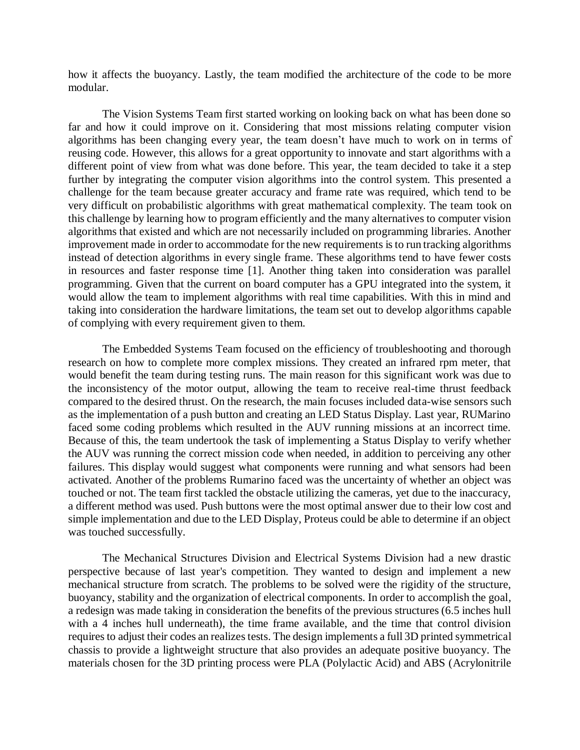how it affects the buoyancy. Lastly, the team modified the architecture of the code to be more modular.

The Vision Systems Team first started working on looking back on what has been done so far and how it could improve on it. Considering that most missions relating computer vision algorithms has been changing every year, the team doesn't have much to work on in terms of reusing code. However, this allows for a great opportunity to innovate and start algorithms with a different point of view from what was done before. This year, the team decided to take it a step further by integrating the computer vision algorithms into the control system. This presented a challenge for the team because greater accuracy and frame rate was required, which tend to be very difficult on probabilistic algorithms with great mathematical complexity. The team took on this challenge by learning how to program efficiently and the many alternatives to computer vision algorithms that existed and which are not necessarily included on programming libraries. Another improvement made in order to accommodate for the new requirements is to run tracking algorithms instead of detection algorithms in every single frame. These algorithms tend to have fewer costs in resources and faster response time [1]. Another thing taken into consideration was parallel programming. Given that the current on board computer has a GPU integrated into the system, it would allow the team to implement algorithms with real time capabilities. With this in mind and taking into consideration the hardware limitations, the team set out to develop algorithms capable of complying with every requirement given to them.

The Embedded Systems Team focused on the efficiency of troubleshooting and thorough research on how to complete more complex missions. They created an infrared rpm meter, that would benefit the team during testing runs. The main reason for this significant work was due to the inconsistency of the motor output, allowing the team to receive real-time thrust feedback compared to the desired thrust. On the research, the main focuses included data-wise sensors such as the implementation of a push button and creating an LED Status Display. Last year, RUMarino faced some coding problems which resulted in the AUV running missions at an incorrect time. Because of this, the team undertook the task of implementing a Status Display to verify whether the AUV was running the correct mission code when needed, in addition to perceiving any other failures. This display would suggest what components were running and what sensors had been activated. Another of the problems Rumarino faced was the uncertainty of whether an object was touched or not. The team first tackled the obstacle utilizing the cameras, yet due to the inaccuracy, a different method was used. Push buttons were the most optimal answer due to their low cost and simple implementation and due to the LED Display, Proteus could be able to determine if an object was touched successfully.

The Mechanical Structures Division and Electrical Systems Division had a new drastic perspective because of last year's competition. They wanted to design and implement a new mechanical structure from scratch. The problems to be solved were the rigidity of the structure, buoyancy, stability and the organization of electrical components. In order to accomplish the goal, a redesign was made taking in consideration the benefits of the previous structures (6.5 inches hull with a 4 inches hull underneath), the time frame available, and the time that control division requires to adjust their codes an realizes tests. The design implements a full 3D printed symmetrical chassis to provide a lightweight structure that also provides an adequate positive buoyancy. The materials chosen for the 3D printing process were PLA (Polylactic Acid) and ABS (Acrylonitrile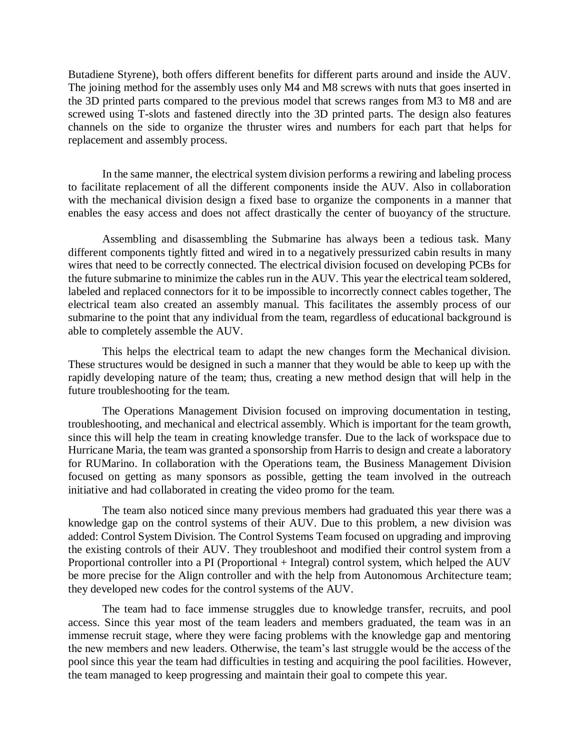Butadiene Styrene), both offers different benefits for different parts around and inside the AUV. The joining method for the assembly uses only M4 and M8 screws with nuts that goes inserted in the 3D printed parts compared to the previous model that screws ranges from M3 to M8 and are screwed using T-slots and fastened directly into the 3D printed parts. The design also features channels on the side to organize the thruster wires and numbers for each part that helps for replacement and assembly process.

In the same manner, the electrical system division performs a rewiring and labeling process to facilitate replacement of all the different components inside the AUV. Also in collaboration with the mechanical division design a fixed base to organize the components in a manner that enables the easy access and does not affect drastically the center of buoyancy of the structure.

Assembling and disassembling the Submarine has always been a tedious task. Many different components tightly fitted and wired in to a negatively pressurized cabin results in many wires that need to be correctly connected. The electrical division focused on developing PCBs for the future submarine to minimize the cables run in the AUV. This year the electrical team soldered, labeled and replaced connectors for it to be impossible to incorrectly connect cables together, The electrical team also created an assembly manual. This facilitates the assembly process of our submarine to the point that any individual from the team, regardless of educational background is able to completely assemble the AUV.

This helps the electrical team to adapt the new changes form the Mechanical division. These structures would be designed in such a manner that they would be able to keep up with the rapidly developing nature of the team; thus, creating a new method design that will help in the future troubleshooting for the team.

The Operations Management Division focused on improving documentation in testing, troubleshooting, and mechanical and electrical assembly. Which is important for the team growth, since this will help the team in creating knowledge transfer. Due to the lack of workspace due to Hurricane Maria, the team was granted a sponsorship from Harris to design and create a laboratory for RUMarino. In collaboration with the Operations team, the Business Management Division focused on getting as many sponsors as possible, getting the team involved in the outreach initiative and had collaborated in creating the video promo for the team.

The team also noticed since many previous members had graduated this year there was a knowledge gap on the control systems of their AUV. Due to this problem, a new division was added: Control System Division. The Control Systems Team focused on upgrading and improving the existing controls of their AUV. They troubleshoot and modified their control system from a Proportional controller into a PI (Proportional + Integral) control system, which helped the AUV be more precise for the Align controller and with the help from Autonomous Architecture team; they developed new codes for the control systems of the AUV.

The team had to face immense struggles due to knowledge transfer, recruits, and pool access. Since this year most of the team leaders and members graduated, the team was in an immense recruit stage, where they were facing problems with the knowledge gap and mentoring the new members and new leaders. Otherwise, the team's last struggle would be the access of the pool since this year the team had difficulties in testing and acquiring the pool facilities. However, the team managed to keep progressing and maintain their goal to compete this year.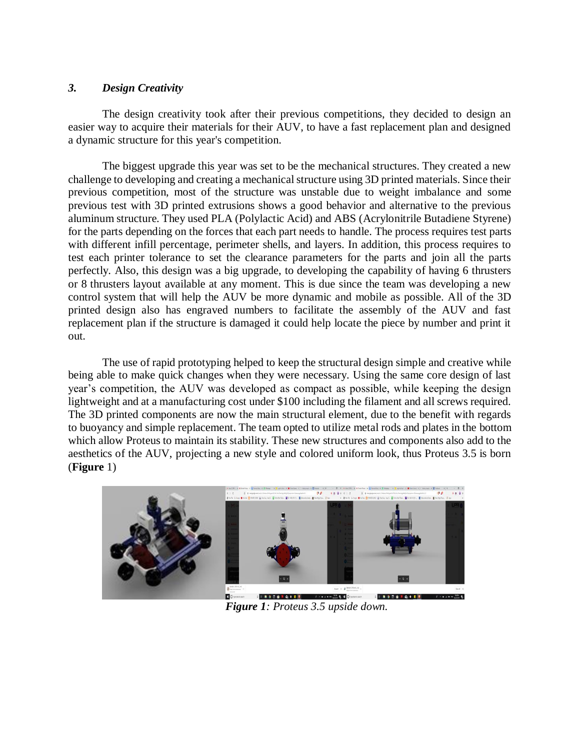## *3. Design Creativity*

The design creativity took after their previous competitions, they decided to design an easier way to acquire their materials for their AUV, to have a fast replacement plan and designed a dynamic structure for this year's competition.

The biggest upgrade this year was set to be the mechanical structures. They created a new challenge to developing and creating a mechanical structure using 3D printed materials. Since their previous competition, most of the structure was unstable due to weight imbalance and some previous test with 3D printed extrusions shows a good behavior and alternative to the previous aluminum structure. They used PLA (Polylactic Acid) and ABS (Acrylonitrile Butadiene Styrene) for the parts depending on the forces that each part needs to handle. The process requires test parts with different infill percentage, perimeter shells, and layers. In addition, this process requires to test each printer tolerance to set the clearance parameters for the parts and join all the parts perfectly. Also, this design was a big upgrade, to developing the capability of having 6 thrusters or 8 thrusters layout available at any moment. This is due since the team was developing a new control system that will help the AUV be more dynamic and mobile as possible. All of the 3D printed design also has engraved numbers to facilitate the assembly of the AUV and fast replacement plan if the structure is damaged it could help locate the piece by number and print it out.

The use of rapid prototyping helped to keep the structural design simple and creative while being able to make quick changes when they were necessary. Using the same core design of last year's competition, the AUV was developed as compact as possible, while keeping the design lightweight and at a manufacturing cost under \$100 including the filament and all screws required. The 3D printed components are now the main structural element, due to the benefit with regards to buoyancy and simple replacement. The team opted to utilize metal rods and plates in the bottom which allow Proteus to maintain its stability. These new structures and components also add to the aesthetics of the AUV, projecting a new style and colored uniform look, thus Proteus 3.5 is born (**Figure** 1)



*Figure 1: Proteus 3.5 upside down.*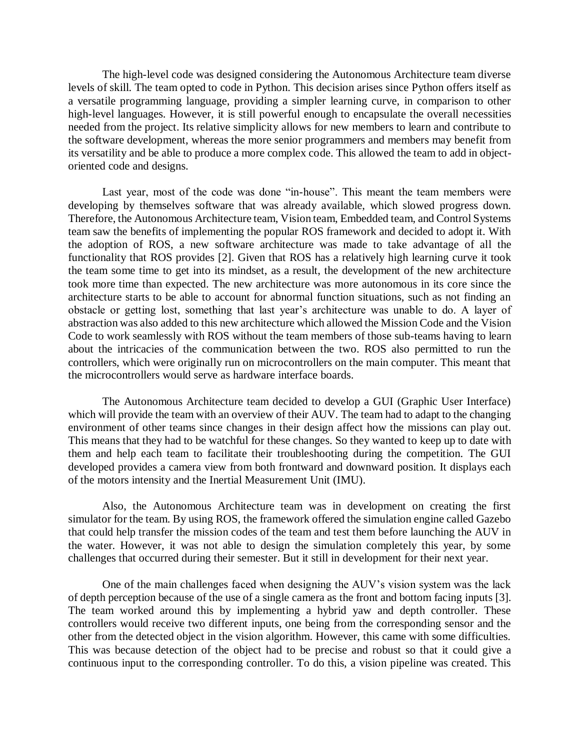The high-level code was designed considering the Autonomous Architecture team diverse levels of skill. The team opted to code in Python. This decision arises since Python offers itself as a versatile programming language, providing a simpler learning curve, in comparison to other high-level languages. However, it is still powerful enough to encapsulate the overall necessities needed from the project. Its relative simplicity allows for new members to learn and contribute to the software development, whereas the more senior programmers and members may benefit from its versatility and be able to produce a more complex code. This allowed the team to add in objectoriented code and designs.

Last year, most of the code was done "in-house". This meant the team members were developing by themselves software that was already available, which slowed progress down. Therefore, the Autonomous Architecture team, Vision team, Embedded team, and Control Systems team saw the benefits of implementing the popular ROS framework and decided to adopt it. With the adoption of ROS, a new software architecture was made to take advantage of all the functionality that ROS provides [2]. Given that ROS has a relatively high learning curve it took the team some time to get into its mindset, as a result, the development of the new architecture took more time than expected. The new architecture was more autonomous in its core since the architecture starts to be able to account for abnormal function situations, such as not finding an obstacle or getting lost, something that last year's architecture was unable to do. A layer of abstraction was also added to this new architecture which allowed the Mission Code and the Vision Code to work seamlessly with ROS without the team members of those sub-teams having to learn about the intricacies of the communication between the two. ROS also permitted to run the controllers, which were originally run on microcontrollers on the main computer. This meant that the microcontrollers would serve as hardware interface boards.

The Autonomous Architecture team decided to develop a GUI (Graphic User Interface) which will provide the team with an overview of their AUV. The team had to adapt to the changing environment of other teams since changes in their design affect how the missions can play out. This means that they had to be watchful for these changes. So they wanted to keep up to date with them and help each team to facilitate their troubleshooting during the competition. The GUI developed provides a camera view from both frontward and downward position. It displays each of the motors intensity and the Inertial Measurement Unit (IMU).

Also, the Autonomous Architecture team was in development on creating the first simulator for the team. By using ROS, the framework offered the simulation engine called Gazebo that could help transfer the mission codes of the team and test them before launching the AUV in the water. However, it was not able to design the simulation completely this year, by some challenges that occurred during their semester. But it still in development for their next year.

One of the main challenges faced when designing the AUV's vision system was the lack of depth perception because of the use of a single camera as the front and bottom facing inputs [3]. The team worked around this by implementing a hybrid yaw and depth controller. These controllers would receive two different inputs, one being from the corresponding sensor and the other from the detected object in the vision algorithm. However, this came with some difficulties. This was because detection of the object had to be precise and robust so that it could give a continuous input to the corresponding controller. To do this, a vision pipeline was created. This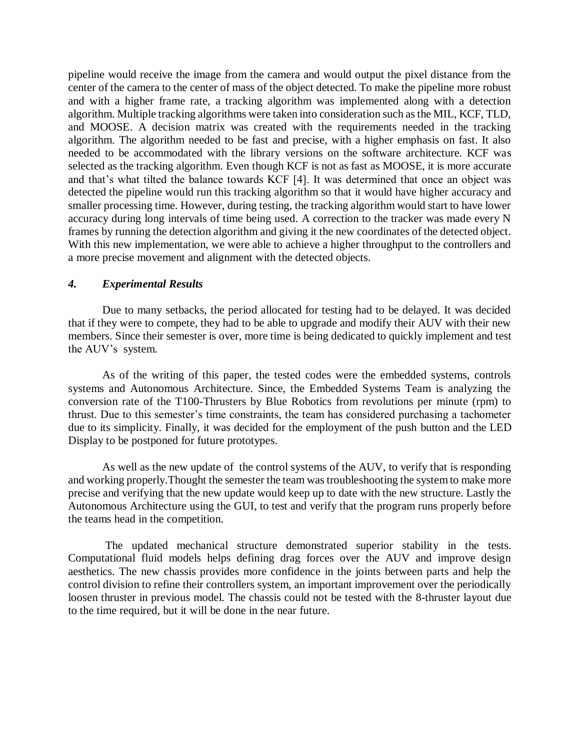pipeline would receive the image from the camera and would output the pixel distance from the center of the camera to the center of mass of the object detected. To make the pipeline more robust and with a higher frame rate, a tracking algorithm was implemented along with a detection algorithm. Multiple tracking algorithms were taken into consideration such as the MIL, KCF, TLD, and MOOSE. A decision matrix was created with the requirements needed in the tracking algorithm. The algorithm needed to be fast and precise, with a higher emphasis on fast. It also needed to be accommodated with the library versions on the software architecture. KCF was selected as the tracking algorithm. Even though KCF is not as fast as MOOSE, it is more accurate and that's what tilted the balance towards KCF [4]. It was determined that once an object was detected the pipeline would run this tracking algorithm so that it would have higher accuracy and smaller processing time. However, during testing, the tracking algorithm would start to have lower accuracy during long intervals of time being used. A correction to the tracker was made every N frames by running the detection algorithm and giving it the new coordinates of the detected object. With this new implementation, we were able to achieve a higher throughput to the controllers and a more precise movement and alignment with the detected objects.

### *4. Experimental Results*

Due to many setbacks, the period allocated for testing had to be delayed. It was decided that if they were to compete, they had to be able to upgrade and modify their AUV with their new members. Since their semester is over, more time is being dedicated to quickly implement and test the AUV's system.

As of the writing of this paper, the tested codes were the embedded systems, controls systems and Autonomous Architecture. Since, the Embedded Systems Team is analyzing the conversion rate of the T100-Thrusters by Blue Robotics from revolutions per minute (rpm) to thrust. Due to this semester's time constraints, the team has considered purchasing a tachometer due to its simplicity. Finally, it was decided for the employment of the push button and the LED Display to be postponed for future prototypes.

As well as the new update of the control systems of the AUV, to verify that is responding and working properly.Thought the semester the team was troubleshooting the system to make more precise and verifying that the new update would keep up to date with the new structure. Lastly the Autonomous Architecture using the GUI, to test and verify that the program runs properly before the teams head in the competition.

The updated mechanical structure demonstrated superior stability in the tests. Computational fluid models helps defining drag forces over the AUV and improve design aesthetics. The new chassis provides more confidence in the joints between parts and help the control division to refine their controllers system, an important improvement over the periodically loosen thruster in previous model. The chassis could not be tested with the 8-thruster layout due to the time required, but it will be done in the near future.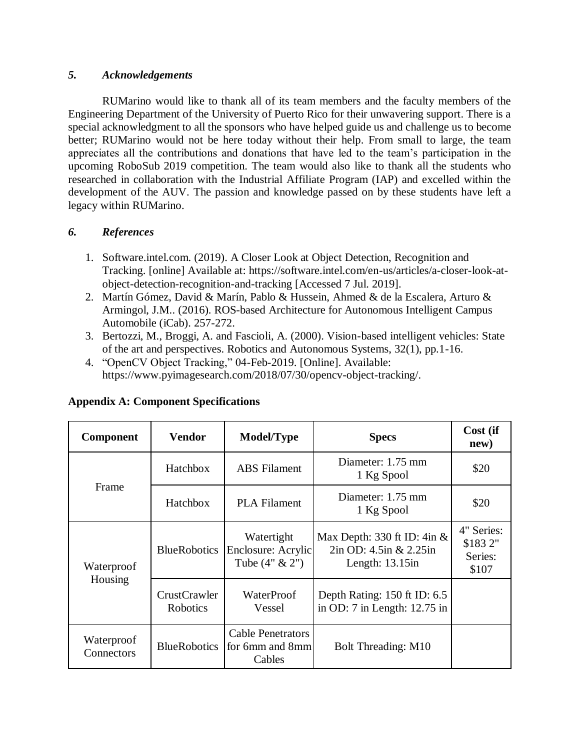## *5. Acknowledgements*

RUMarino would like to thank all of its team members and the faculty members of the Engineering Department of the University of Puerto Rico for their unwavering support. There is a special acknowledgment to all the sponsors who have helped guide us and challenge us to become better; RUMarino would not be here today without their help. From small to large, the team appreciates all the contributions and donations that have led to the team's participation in the upcoming RoboSub 2019 competition. The team would also like to thank all the students who researched in collaboration with the Industrial Affiliate Program (IAP) and excelled within the development of the AUV. The passion and knowledge passed on by these students have left a legacy within RUMarino.

# *6. References*

- 1. Software.intel.com. (2019). A Closer Look at Object Detection, Recognition and Tracking. [online] Available at: https://software.intel.com/en-us/articles/a-closer-look-atobject-detection-recognition-and-tracking [Accessed 7 Jul. 2019].
- 2. Martín Gómez, David & Marín, Pablo & Hussein, Ahmed & de la Escalera, Arturo & Armingol, J.M.. (2016). ROS-based Architecture for Autonomous Intelligent Campus Automobile (iCab). 257-272.
- 3. Bertozzi, M., Broggi, A. and Fascioli, A. (2000). Vision-based intelligent vehicles: State of the art and perspectives. Robotics and Autonomous Systems, 32(1), pp.1-16.
- 4. "OpenCV Object Tracking," 04-Feb-2019. [Online]. Available: https://www.pyimagesearch.com/2018/07/30/opencv-object-tracking/.

| <b>Component</b>         | <b>Vendor</b>                   | <b>Model/Type</b>                                     | <b>Specs</b>                                                                     | Cost (if<br>new)                          |
|--------------------------|---------------------------------|-------------------------------------------------------|----------------------------------------------------------------------------------|-------------------------------------------|
|                          | Hatchbox                        | <b>ABS</b> Filament                                   | Diameter: 1.75 mm<br>1 Kg Spool                                                  | \$20                                      |
| Frame                    | Hatchbox                        | <b>PLA Filament</b>                                   | Diameter: 1.75 mm<br>1 Kg Spool                                                  | \$20                                      |
| Waterproof               | <b>BlueRobotics</b>             | Watertight<br>Enclosure: Acrylic<br>Tube $(4" \& 2")$ | Max Depth: 330 ft ID: $4in \&$<br>$2in$ OD: 4.5in & 2.25in<br>Length: $13.15$ in | 4" Series:<br>\$1832"<br>Series:<br>\$107 |
| Housing                  | <b>CrustCrawler</b><br>Robotics | WaterProof<br>Vessel                                  | Depth Rating: 150 ft ID: 6.5<br>in OD: 7 in Length: 12.75 in                     |                                           |
| Waterproof<br>Connectors | <b>BlueRobotics</b>             | <b>Cable Penetrators</b><br>for 6mm and 8mm<br>Cables | Bolt Threading: M10                                                              |                                           |

# **Appendix A: Component Specifications**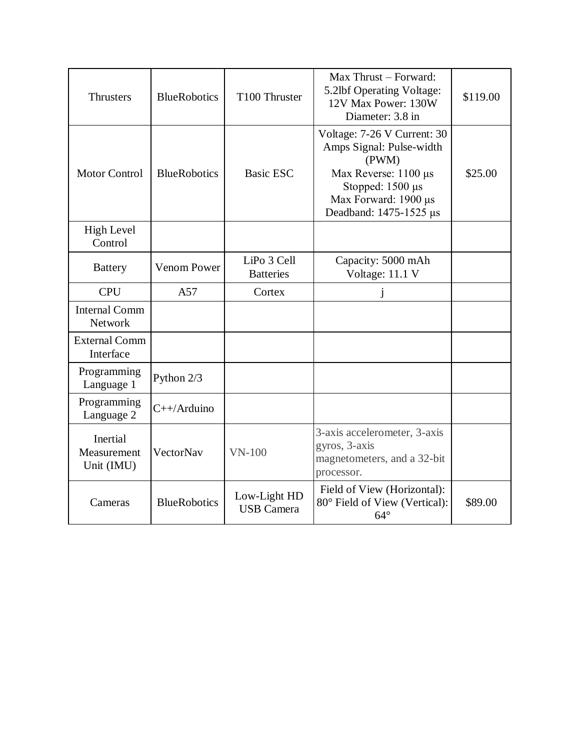| <b>Thrusters</b>                      | <b>BlueRobotics</b> | T100 Thruster                     | Max Thrust - Forward:<br>5.2lbf Operating Voltage:<br>12V Max Power: 130W<br>Diameter: 3.8 in                                                                  | \$119.00 |
|---------------------------------------|---------------------|-----------------------------------|----------------------------------------------------------------------------------------------------------------------------------------------------------------|----------|
| <b>Motor Control</b>                  | <b>BlueRobotics</b> | <b>Basic ESC</b>                  | Voltage: 7-26 V Current: 30<br>Amps Signal: Pulse-width<br>(PWM)<br>Max Reverse: 1100 μs<br>Stopped: 1500 µs<br>Max Forward: 1900 μs<br>Deadband: 1475-1525 µs | \$25.00  |
| <b>High Level</b><br>Control          |                     |                                   |                                                                                                                                                                |          |
| <b>Battery</b>                        | <b>Venom Power</b>  | LiPo 3 Cell<br><b>Batteries</b>   | Capacity: 5000 mAh<br>Voltage: 11.1 V                                                                                                                          |          |
| <b>CPU</b>                            | A57                 | Cortex                            |                                                                                                                                                                |          |
| <b>Internal Comm</b><br>Network       |                     |                                   |                                                                                                                                                                |          |
| <b>External Comm</b><br>Interface     |                     |                                   |                                                                                                                                                                |          |
| Programming<br>Language 1             | Python 2/3          |                                   |                                                                                                                                                                |          |
| Programming<br>Language 2             | $C++/Arduino$       |                                   |                                                                                                                                                                |          |
| Inertial<br>Measurement<br>Unit (IMU) | VectorNav           | $VN-100$                          | 3-axis accelerometer, 3-axis<br>gyros, 3-axis<br>magnetometers, and a 32-bit<br>processor.                                                                     |          |
| Cameras                               | <b>BlueRobotics</b> | Low-Light HD<br><b>USB</b> Camera | Field of View (Horizontal):<br>80° Field of View (Vertical):<br>$64^\circ$                                                                                     | \$89.00  |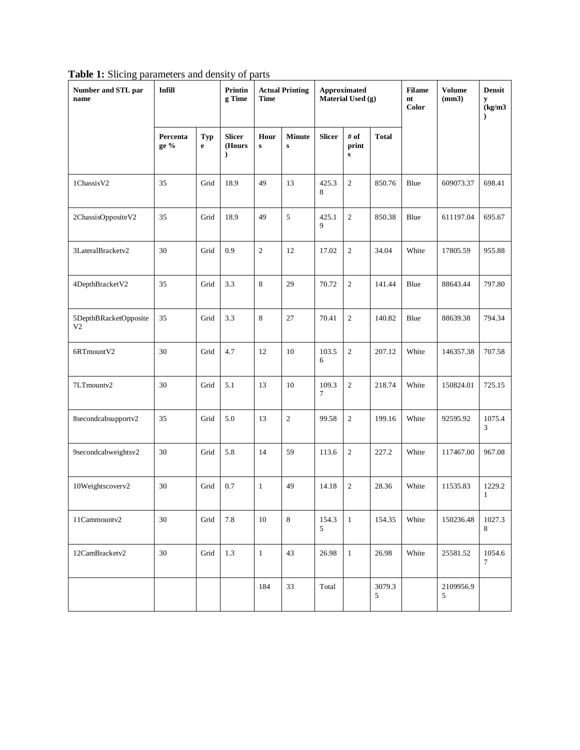|  |  | Table 1: Slicing parameters and density of parts |  |  |  |  |
|--|--|--------------------------------------------------|--|--|--|--|
|--|--|--------------------------------------------------|--|--|--|--|

| Number and STL par<br>name              | <b>Infill</b>    |                    | Printin<br>g Time                        | <b>Actual Printing</b><br>Approximated<br>Material Used (g)<br><b>Time</b> |                            |                 | <b>Filame</b><br>nt<br>Color | <b>Volume</b><br>(mm3) | <b>Densit</b><br>y<br>$\frac{\text{kg}}{\text{m}^3}$<br>$\mathcal{E}$ |                |             |
|-----------------------------------------|------------------|--------------------|------------------------------------------|----------------------------------------------------------------------------|----------------------------|-----------------|------------------------------|------------------------|-----------------------------------------------------------------------|----------------|-------------|
|                                         | Percenta<br>ge % | Typ<br>$\mathbf e$ | <b>Slicer</b><br>(Hours<br>$\mathcal{F}$ | Hour<br>${\bf S}$                                                          | <b>Minute</b><br>${\bf s}$ | <b>Slicer</b>   | # of<br>print<br>${\bf S}$   | <b>Total</b>           |                                                                       |                |             |
| 1ChassisV2                              | 35               | Grid               | 18.9                                     | 49                                                                         | 13                         | 425.3<br>8      | $\sqrt{2}$                   | 850.76                 | Blue                                                                  | 609073.37      | 698.41      |
| 2ChassisOppositeV2                      | 35               | Grid               | 18.9                                     | 49                                                                         | 5                          | 425.1<br>9      | $\sqrt{2}$                   | 850.38                 | Blue                                                                  | 611197.04      | 695.67      |
| 3LateralBracketv2                       | 30               | Grid               | 0.9                                      | $\sqrt{2}$                                                                 | 12                         | 17.02           | $\sqrt{2}$                   | 34.04                  | White                                                                 | 17805.59       | 955.88      |
| 4DepthBracketV2                         | 35               | Grid               | 3.3                                      | $\,8\,$                                                                    | 29                         | 70.72           | $\overline{2}$               | 141.44                 | Blue                                                                  | 88643.44       | 797.80      |
| 5DepthBRacketOpposite<br>V <sub>2</sub> | 35               | Grid               | 3.3                                      | $\,8\,$                                                                    | 27                         | 70.41           | $\sqrt{2}$                   | 140.82                 | Blue                                                                  | 88639.38       | 794.34      |
| 6RTmountV2                              | 30               | Grid               | 4.7                                      | 12                                                                         | 10                         | 103.5<br>6      | $\sqrt{2}$                   | 207.12                 | White                                                                 | 146357.38      | 707.58      |
| 7LTmountv2                              | 30               | Grid               | 5.1                                      | 13                                                                         | 10                         | 109.3<br>$\tau$ | $\sqrt{2}$                   | 218.74                 | White                                                                 | 150824.01      | 725.15      |
| 8secondcabsupportv2                     | 35               | Grid               | 5.0                                      | 13                                                                         | $\mathbf{2}$               | 99.58           | $\sqrt{2}$                   | 199.16                 | White                                                                 | 92595.92       | 1075.4<br>3 |
| 9secondcabweightsv2                     | $30\,$           | Grid               | 5.8                                      | 14                                                                         | 59                         | 113.6           | $\sqrt{2}$                   | 227.2                  | White                                                                 | 117467.00      | 967.08      |
| 10Weightscoverv2                        | 30               | Grid               | 0.7                                      | $\mathbf{1}$                                                               | 49                         | 14.18           | $\sqrt{2}$                   | 28.36                  | White                                                                 | 11535.83       | 1229.2<br>1 |
| 11Cammountv2                            | 30               | Grid               | 7.8                                      | 10                                                                         | 8                          | 154.3<br>5      | $\mathbf{1}$                 | 154.35                 | White                                                                 | 150236.48      | 1027.3<br>8 |
| 12CamBracketv2                          | 30               | Grid               | 1.3                                      | $\mathbf{1}$                                                               | 43                         | 26.98           | $\mathbf{1}$                 | 26.98                  | White                                                                 | 25581.52       | 1054.6<br>7 |
|                                         |                  |                    |                                          | 184                                                                        | 33                         | Total           |                              | 3079.3<br>5            |                                                                       | 2109956.9<br>5 |             |